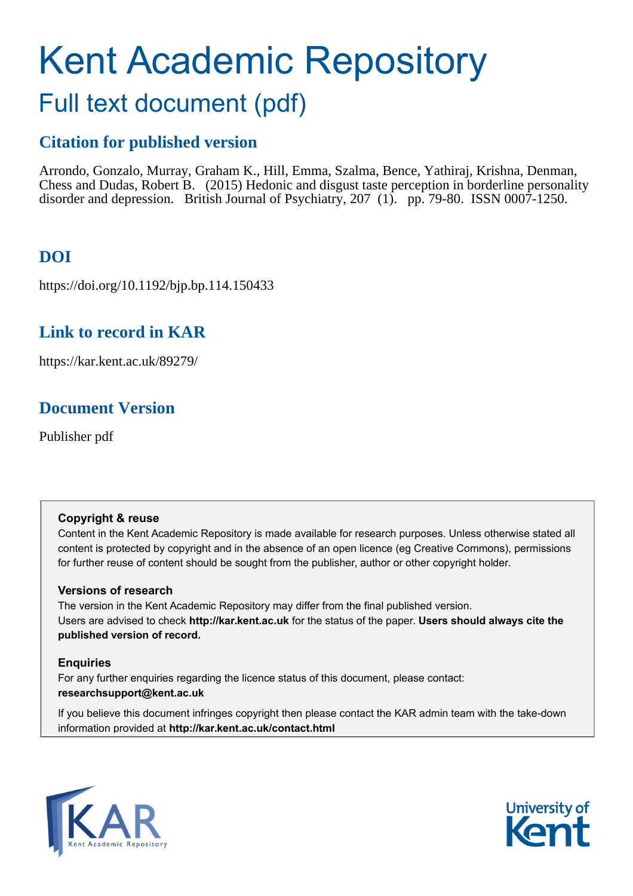# Kent Academic Repository Full text document (pdf)

# **Citation for published version**

Arrondo, Gonzalo, Murray, Graham K., Hill, Emma, Szalma, Bence, Yathiraj, Krishna, Denman, Chess and Dudas, Robert B. (2015) Hedonic and disgust taste perception in borderline personality disorder and depression. British Journal of Psychiatry, 207 (1). pp. 79-80. ISSN 0007-1250.

# **DOI**

https://doi.org/10.1192/bjp.bp.114.150433

## **Link to record in KAR**

https://kar.kent.ac.uk/89279/

## **Document Version**

Publisher pdf

### **Copyright & reuse**

Content in the Kent Academic Repository is made available for research purposes. Unless otherwise stated all content is protected by copyright and in the absence of an open licence (eg Creative Commons), permissions for further reuse of content should be sought from the publisher, author or other copyright holder.

### **Versions of research**

The version in the Kent Academic Repository may differ from the final published version. Users are advised to check **http://kar.kent.ac.uk** for the status of the paper. **Users should always cite the published version of record.**

### **Enquiries**

For any further enquiries regarding the licence status of this document, please contact: **researchsupport@kent.ac.uk**

If you believe this document infringes copyright then please contact the KAR admin team with the take-down information provided at **http://kar.kent.ac.uk/contact.html**



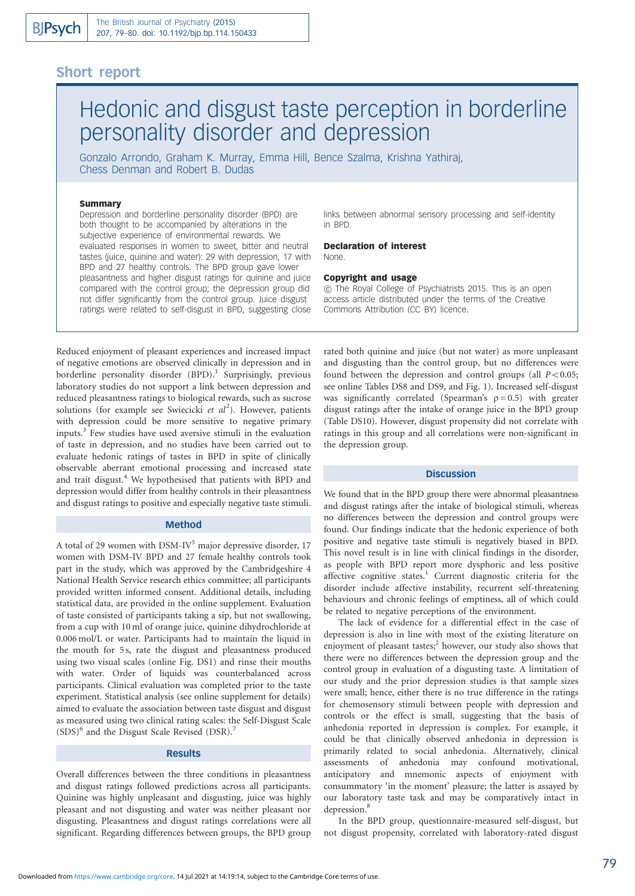### Short report

# Hedonic and disgust taste perception in borderline personality disorder and depression

Gonzalo Arrondo, Graham K. Murray, Emma Hill, Bence Szalma, Krishna Yathiraj, Chess Denman and Robert B. Dudas

### **Summary**

Depression and borderline personality disorder (BPD) are both thought to be accompanied by alterations in the subjective experience of environmental rewards. We evaluated responses in women to sweet, bitter and neutral tastes (juice, quinine and water): 29 with depression, 17 with BPD and 27 healthy controls. The BPD group gave lower pleasantness and higher disgust ratings for quinine and juice compared with the control group; the depression group did not differ significantly from the control group. Juice disgust ratings were related to self-disgust in BPD, suggesting close links between abnormal sensory processing and self-identity in BPD.

Declaration of interest None.

### Copyright and usage

*B* The Royal College of Psychiatrists 2015. This is an open access article distributed under the terms of the Creative Commons Attribution (CC BY) licence.

Reduced enjoyment of pleasant experiences and increased impact of negative emotions are observed clinically in depression and in borderline personality disorder  $(BPD)$ .<sup>1</sup> Surprisingly, previous laboratory studies do not support a link between depression and reduced pleasantness ratings to biological rewards, such as sucrose solutions (for example see Swiecicki et  $al^2$ ). However, patients with depression could be more sensitive to negative primary inputs.<sup>3</sup> Few studies have used aversive stimuli in the evaluation of taste in depression, and no studies have been carried out to evaluate hedonic ratings of tastes in BPD in spite of clinically observable aberrant emotional processing and increased state and trait disgust.<sup>4</sup> We hypothesised that patients with BPD and depression would differ from healthy controls in their pleasantness and disgust ratings to positive and especially negative taste stimuli.

### Method

A total of 29 women with DSM-IV<sup>5</sup> major depressive disorder, 17 women with DSM-IV BPD and 27 female healthy controls took part in the study, which was approved by the Cambridgeshire 4 National Health Service research ethics committee; all participants provided written informed consent. Additional details, including statistical data, are provided in the online supplement. Evaluation of taste consisted of participants taking a sip, but not swallowing, from a cup with 10 ml of orange juice, quinine dihydrochloride at 0.006 mol/L or water. Participants had to maintain the liquid in the mouth for 5 s, rate the disgust and pleasantness produced using two visual scales (online Fig. DS1) and rinse their mouths with water. Order of liquids was counterbalanced across participants. Clinical evaluation was completed prior to the taste experiment. Statistical analysis (see online supplement for details) aimed to evaluate the association between taste disgust and disgust as measured using two clinical rating scales: the Self-Disgust Scale  $(SDS)^6$  and the Disgust Scale Revised (DSR).<sup>7</sup>

### Results

Overall differences between the three conditions in pleasantness and disgust ratings followed predictions across all participants. Quinine was highly unpleasant and disgusting, juice was highly pleasant and not disgusting and water was neither pleasant nor disgusting. Pleasantness and disgust ratings correlations were all significant. Regarding differences between groups, the BPD group rated both quinine and juice (but not water) as more unpleasant and disgusting than the control group, but no differences were found between the depression and control groups (all  $P < 0.05$ ; see online Tables DS8 and DS9, and Fig. 1). Increased self-disgust was significantly correlated (Spearman's  $\rho = 0.5$ ) with greater disgust ratings after the intake of orange juice in the BPD group (Table DS10). However, disgust propensity did not correlate with ratings in this group and all correlations were non-significant in the depression group.

### **Discussion**

We found that in the BPD group there were abnormal pleasantness and disgust ratings after the intake of biological stimuli, whereas no differences between the depression and control groups were found. Our findings indicate that the hedonic experience of both positive and negative taste stimuli is negatively biased in BPD. This novel result is in line with clinical findings in the disorder, as people with BPD report more dysphoric and less positive affective cognitive states.<sup>1</sup> Current diagnostic criteria for the disorder include affective instability, recurrent self-threatening behaviours and chronic feelings of emptiness, all of which could be related to negative perceptions of the environment.

The lack of evidence for a differential effect in the case of depression is also in line with most of the existing literature on enjoyment of pleasant tastes;<sup>2</sup> however, our study also shows that there were no differences between the depression group and the control group in evaluation of a disgusting taste. A limitation of our study and the prior depression studies is that sample sizes were small; hence, either there is no true difference in the ratings for chemosensory stimuli between people with depression and controls or the effect is small, suggesting that the basis of anhedonia reported in depression is complex. For example, it could be that clinically observed anhedonia in depression is primarily related to social anhedonia. Alternatively, clinical assessments of anhedonia may confound motivational, anticipatory and mnemonic aspects of enjoyment with consummatory 'in the moment' pleasure; the latter is assayed by our laboratory taste task and may be comparatively intact in depression.<sup>8</sup>

In the BPD group, questionnaire-measured self-disgust, but not disgust propensity, correlated with laboratory-rated disgust